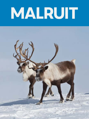# MALRUIT

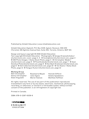Published by Inhabit Education | www.inhabiteducation.com

Inhabit Education (Iqaluit), P.O. Box 2129, Iqaluit, Nunavut, X0A 1H0 (Toronto), 191 Eglinton Avenue East, Suite 301, Toronto, Ontario, M4P 1K1

Design and layout copyright © 2018 Inhabit Education

Text copyright © Inhabit Education · Photographs: © Sergey Krasnoshchokov/ shutterstock.com, cover, page 4, 5 · © Scandphoto/shutterstock.com, page 2 · © GM Photo Images / Alamy Stock Photo, page 3 · © Christopher Meder/ shutterstock.com, page 6 · © PavelSvoboda/shutterstock.com, page 7 · © Sean Donohue Photo/shutterstock.com, page 8 · © Dan Bach Kristensen/shutterstock.com, page 9 · © Volt Collection/shutterstock.com, page 10 · © Ton Koene / Alamy Stock Photo, page 11 ·© Yongyut Kumsri/shutterstock.com, page 12

#### **Working Group**

| Neil Christopher  | Rosemarie Meyok | Hannah Gifford    |
|-------------------|-----------------|-------------------|
| Danny Christopher | Julia Ogina     | Amelia Spedaliere |
| Gwen Angulalik    | Maren Vsetula   | Matthew Hoffman   |

All rights reserved. The use of any part of this publication reproduced, transmitted in any form or by any means, electronic, mechanical, photocopying, recording, or otherwise, or stored in a retrievable system, without written consent of the publisher, is an infringement of copyright law.

Printed in Canada.

ISBN: 978-0-2287-0038-8



INHABIT EDUCATION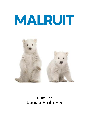## MALRUIT



TITIRAQTAA Louise Flaherty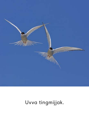

#### Uvva tingmijjak.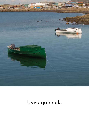

## Uvva qainnak.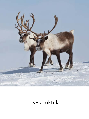

Uvva tuktuk.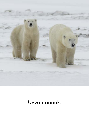

#### Uvva nannuk.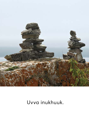

#### Uvva inukhuuk.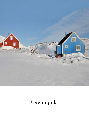

## Uvva igluk.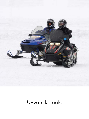

Uvva sikiituuk.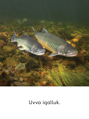

#### Uvva iqalluk.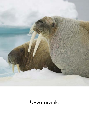

Uvva aivrik.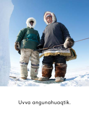

#### Uvva angunahuaqtik.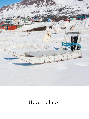

#### Uvva aalliak.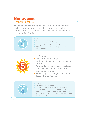#### **Nunavummi** Reading Series

The Nunavummi Reading Series is a Nunavut-developed series that supports literacy learning while teaching readers about the people, traditions, and environment of the Canadian Arctic.

| evel  | $\bullet$ 8-12 pages<br>• One sentence per page<br>• Sentences are very short, basic, and repetitive<br>· Basic punctuation (periods only)<br>. Highly supportive images help readers decode<br>the sentences                                                         |
|-------|-----------------------------------------------------------------------------------------------------------------------------------------------------------------------------------------------------------------------------------------------------------------------|
|       | $\bullet$ 8-12 pages<br>· One sentence per page<br>· Sentences become longer and more<br>varied<br>· Punctuation includes mostly periods,<br>with very few question marks and<br>exclamation marks<br>. Highly supportive images help readers<br>decode the sentences |
| Level | $\bullet$ 8-12 pages<br>• 1-2 sentences per page<br>· More complicated and varied sentences<br>. Punctuation includes mostly periods, with<br>some question marks and exclamation marks<br>• Highly supportive images help readers decode<br>the sentences            |